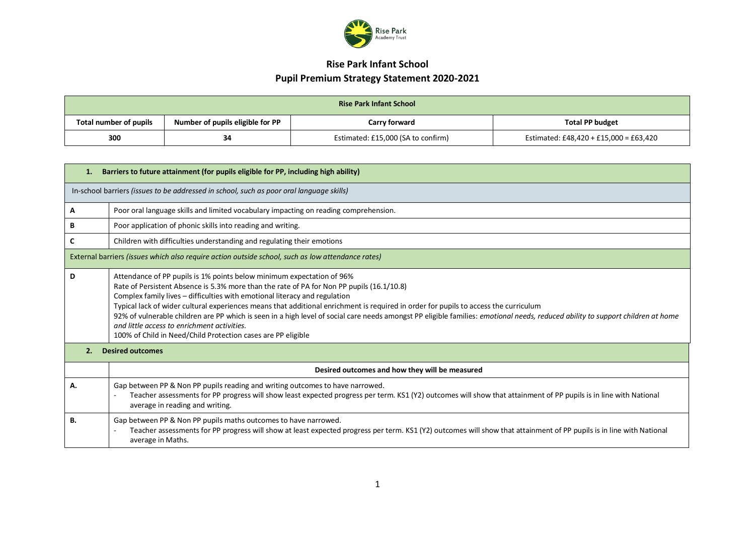

| <b>Rise Park Infant School</b> |                                  |                                    |                                        |  |  |
|--------------------------------|----------------------------------|------------------------------------|----------------------------------------|--|--|
| Total number of pupils         | Number of pupils eligible for PP | Carry forward                      | <b>Total PP budget</b>                 |  |  |
| 300                            | 34                               | Estimated: £15,000 (SA to confirm) | Estimated: £48,420 + £15,000 = £63,420 |  |  |

| Barriers to future attainment (for pupils eligible for PP, including high ability)<br>1. |                                                                                                                                                                                                                                                                                                                                                                                                                                                                                                                                                                                                                                                                                            |  |  |  |  |
|------------------------------------------------------------------------------------------|--------------------------------------------------------------------------------------------------------------------------------------------------------------------------------------------------------------------------------------------------------------------------------------------------------------------------------------------------------------------------------------------------------------------------------------------------------------------------------------------------------------------------------------------------------------------------------------------------------------------------------------------------------------------------------------------|--|--|--|--|
|                                                                                          | In-school barriers (issues to be addressed in school, such as poor oral language skills)                                                                                                                                                                                                                                                                                                                                                                                                                                                                                                                                                                                                   |  |  |  |  |
| Α                                                                                        | Poor oral language skills and limited vocabulary impacting on reading comprehension.                                                                                                                                                                                                                                                                                                                                                                                                                                                                                                                                                                                                       |  |  |  |  |
| В                                                                                        | Poor application of phonic skills into reading and writing.                                                                                                                                                                                                                                                                                                                                                                                                                                                                                                                                                                                                                                |  |  |  |  |
| C                                                                                        | Children with difficulties understanding and regulating their emotions                                                                                                                                                                                                                                                                                                                                                                                                                                                                                                                                                                                                                     |  |  |  |  |
|                                                                                          | External barriers (issues which also require action outside school, such as low attendance rates)                                                                                                                                                                                                                                                                                                                                                                                                                                                                                                                                                                                          |  |  |  |  |
| D                                                                                        | Attendance of PP pupils is 1% points below minimum expectation of 96%<br>Rate of Persistent Absence is 5.3% more than the rate of PA for Non PP pupils (16.1/10.8)<br>Complex family lives - difficulties with emotional literacy and regulation<br>Typical lack of wider cultural experiences means that additional enrichment is required in order for pupils to access the curriculum<br>92% of vulnerable children are PP which is seen in a high level of social care needs amongst PP eligible families: emotional needs, reduced ability to support children at home<br>and little access to enrichment activities.<br>100% of Child in Need/Child Protection cases are PP eligible |  |  |  |  |
| 2.                                                                                       | <b>Desired outcomes</b>                                                                                                                                                                                                                                                                                                                                                                                                                                                                                                                                                                                                                                                                    |  |  |  |  |
|                                                                                          | Desired outcomes and how they will be measured                                                                                                                                                                                                                                                                                                                                                                                                                                                                                                                                                                                                                                             |  |  |  |  |
| А.                                                                                       | Gap between PP & Non PP pupils reading and writing outcomes to have narrowed.<br>Teacher assessments for PP progress will show least expected progress per term. KS1 (Y2) outcomes will show that attainment of PP pupils is in line with National<br>average in reading and writing.                                                                                                                                                                                                                                                                                                                                                                                                      |  |  |  |  |
| В.                                                                                       | Gap between PP & Non PP pupils maths outcomes to have narrowed.<br>Teacher assessments for PP progress will show at least expected progress per term. KS1 (Y2) outcomes will show that attainment of PP pupils is in line with National<br>average in Maths.                                                                                                                                                                                                                                                                                                                                                                                                                               |  |  |  |  |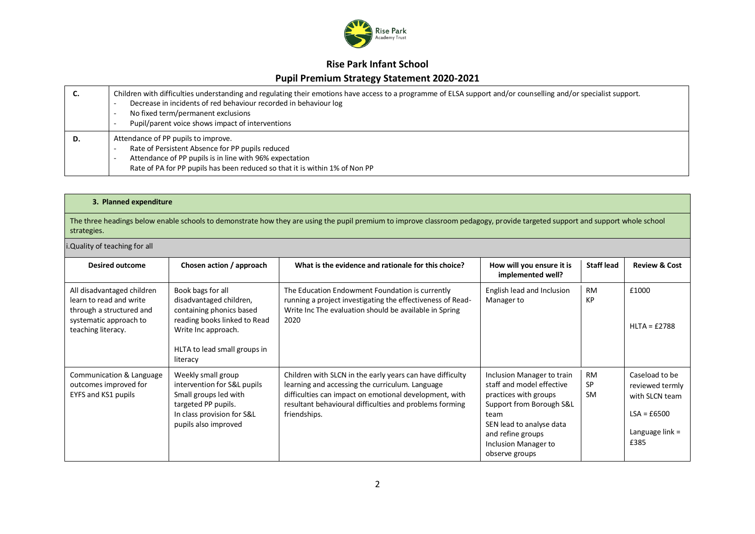

#### **Rise Park Infant School**

#### **Pupil Premium Strategy Statement 2020-2021**

| J. | Children with difficulties understanding and regulating their emotions have access to a programme of ELSA support and/or counselling and/or specialist support.<br>Decrease in incidents of red behaviour recorded in behaviour log<br>No fixed term/permanent exclusions<br>Pupil/parent voice shows impact of interventions |
|----|-------------------------------------------------------------------------------------------------------------------------------------------------------------------------------------------------------------------------------------------------------------------------------------------------------------------------------|
| D. | Attendance of PP pupils to improve.<br>Rate of Persistent Absence for PP pupils reduced<br>Attendance of PP pupils is in line with 96% expectation<br>Rate of PA for PP pupils has been reduced so that it is within 1% of Non PP                                                                                             |

#### **3. Planned expenditure**

The three headings below enable schools to demonstrate how they are using the pupil premium to improve classroom pedagogy, provide targeted support and support whole school strategies.

#### i.Quality of teaching for all

| <b>Desired outcome</b>                                                                                                            | Chosen action / approach                                                                                                                                                    | What is the evidence and rationale for this choice?                                                                                                                                                                                               | How will you ensure it is<br>implemented well?                                                                                                                                                                  | <b>Staff lead</b>                   | <b>Review &amp; Cost</b>                                                                          |
|-----------------------------------------------------------------------------------------------------------------------------------|-----------------------------------------------------------------------------------------------------------------------------------------------------------------------------|---------------------------------------------------------------------------------------------------------------------------------------------------------------------------------------------------------------------------------------------------|-----------------------------------------------------------------------------------------------------------------------------------------------------------------------------------------------------------------|-------------------------------------|---------------------------------------------------------------------------------------------------|
| All disadvantaged children<br>learn to read and write<br>through a structured and<br>systematic approach to<br>teaching literacy. | Book bags for all<br>disadvantaged children,<br>containing phonics based<br>reading books linked to Read<br>Write Inc approach.<br>HLTA to lead small groups in<br>literacy | The Education Endowment Foundation is currently<br>running a project investigating the effectiveness of Read-<br>Write Inc The evaluation should be available in Spring<br>2020                                                                   | English lead and Inclusion<br>Manager to                                                                                                                                                                        | <b>RM</b><br>KP                     | £1000<br>$HLTA = £2788$                                                                           |
| Communication & Language<br>outcomes improved for<br>EYFS and KS1 pupils                                                          | Weekly small group<br>intervention for S&L pupils<br>Small groups led with<br>targeted PP pupils.<br>In class provision for S&L<br>pupils also improved                     | Children with SLCN in the early years can have difficulty<br>learning and accessing the curriculum. Language<br>difficulties can impact on emotional development, with<br>resultant behavioural difficulties and problems forming<br>friendships. | Inclusion Manager to train<br>staff and model effective<br>practices with groups<br>Support from Borough S&L<br>team<br>SEN lead to analyse data<br>and refine groups<br>Inclusion Manager to<br>observe groups | <b>RM</b><br><b>SP</b><br><b>SM</b> | Caseload to be<br>reviewed termly<br>with SLCN team<br>$LSA = £6500$<br>Language $link =$<br>£385 |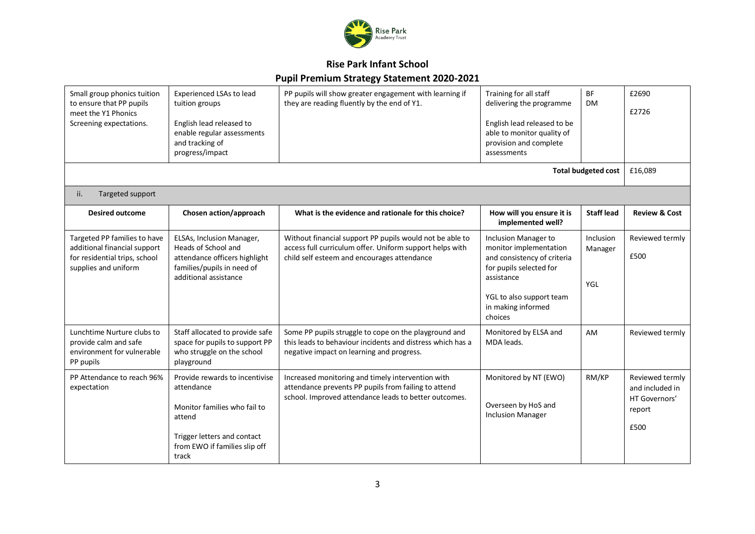

### **Rise Park Infant School**

### **Pupil Premium Strategy Statement 2020-2021**

| Small group phonics tuition<br>to ensure that PP pupils<br>meet the Y1 Phonics<br>Screening expectations.             | <b>Experienced LSAs to lead</b><br>tuition groups<br>English lead released to<br>enable regular assessments<br>and tracking of<br>progress/impact               | PP pupils will show greater engagement with learning if<br>they are reading fluently by the end of Y1.                                                              | Training for all staff<br>delivering the programme<br>English lead released to be<br>able to monitor quality of<br>provision and complete<br>assessments                            | <b>BF</b><br><b>DM</b>             | £2690<br>£2726                                                        |
|-----------------------------------------------------------------------------------------------------------------------|-----------------------------------------------------------------------------------------------------------------------------------------------------------------|---------------------------------------------------------------------------------------------------------------------------------------------------------------------|-------------------------------------------------------------------------------------------------------------------------------------------------------------------------------------|------------------------------------|-----------------------------------------------------------------------|
|                                                                                                                       |                                                                                                                                                                 |                                                                                                                                                                     |                                                                                                                                                                                     | <b>Total budgeted cost</b>         | £16,089                                                               |
| Targeted support<br>ii.                                                                                               |                                                                                                                                                                 |                                                                                                                                                                     |                                                                                                                                                                                     |                                    |                                                                       |
| <b>Desired outcome</b>                                                                                                | Chosen action/approach                                                                                                                                          | What is the evidence and rationale for this choice?                                                                                                                 | How will you ensure it is<br>implemented well?                                                                                                                                      | <b>Staff lead</b>                  | <b>Review &amp; Cost</b>                                              |
| Targeted PP families to have<br>additional financial support<br>for residential trips, school<br>supplies and uniform | ELSAs, Inclusion Manager,<br>Heads of School and<br>attendance officers highlight<br>families/pupils in need of<br>additional assistance                        | Without financial support PP pupils would not be able to<br>access full curriculum offer. Uniform support helps with<br>child self esteem and encourages attendance | Inclusion Manager to<br>monitor implementation<br>and consistency of criteria<br>for pupils selected for<br>assistance<br>YGL to also support team<br>in making informed<br>choices | Inclusion<br>Manager<br><b>YGL</b> | Reviewed termly<br>£500                                               |
| Lunchtime Nurture clubs to<br>provide calm and safe<br>environment for vulnerable<br>PP pupils                        | Staff allocated to provide safe<br>space for pupils to support PP<br>who struggle on the school<br>playground                                                   | Some PP pupils struggle to cope on the playground and<br>this leads to behaviour incidents and distress which has a<br>negative impact on learning and progress.    | Monitored by ELSA and<br>MDA leads.                                                                                                                                                 | AM                                 | Reviewed termly                                                       |
| PP Attendance to reach 96%<br>expectation                                                                             | Provide rewards to incentivise<br>attendance<br>Monitor families who fail to<br>attend<br>Trigger letters and contact<br>from EWO if families slip off<br>track | Increased monitoring and timely intervention with<br>attendance prevents PP pupils from failing to attend<br>school. Improved attendance leads to better outcomes.  | Monitored by NT (EWO)<br>Overseen by HoS and<br><b>Inclusion Manager</b>                                                                                                            | RM/KP                              | Reviewed termly<br>and included in<br>HT Governors'<br>report<br>£500 |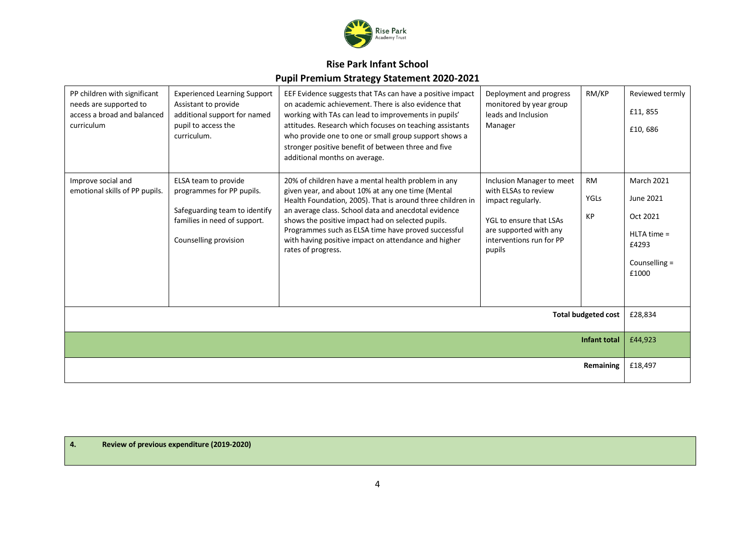

| PP children with significant<br>needs are supported to<br>access a broad and balanced<br>curriculum | <b>Experienced Learning Support</b><br>Assistant to provide<br>additional support for named<br>pupil to access the<br>curriculum.           | EEF Evidence suggests that TAs can have a positive impact<br>on academic achievement. There is also evidence that<br>working with TAs can lead to improvements in pupils'<br>attitudes. Research which focuses on teaching assistants<br>who provide one to one or small group support shows a<br>stronger positive benefit of between three and five<br>additional months on average.                                   | Deployment and progress<br>monitored by year group<br>leads and Inclusion<br>Manager                                                                              | RM/KP                          | Reviewed termly<br>£11,855<br>£10,686                                                          |
|-----------------------------------------------------------------------------------------------------|---------------------------------------------------------------------------------------------------------------------------------------------|--------------------------------------------------------------------------------------------------------------------------------------------------------------------------------------------------------------------------------------------------------------------------------------------------------------------------------------------------------------------------------------------------------------------------|-------------------------------------------------------------------------------------------------------------------------------------------------------------------|--------------------------------|------------------------------------------------------------------------------------------------|
| Improve social and<br>emotional skills of PP pupils.                                                | ELSA team to provide<br>programmes for PP pupils.<br>Safeguarding team to identify<br>families in need of support.<br>Counselling provision | 20% of children have a mental health problem in any<br>given year, and about 10% at any one time (Mental<br>Health Foundation, 2005). That is around three children in<br>an average class. School data and anecdotal evidence<br>shows the positive impact had on selected pupils.<br>Programmes such as ELSA time have proved successful<br>with having positive impact on attendance and higher<br>rates of progress. | Inclusion Manager to meet<br>with ELSAs to review<br>impact regularly.<br>YGL to ensure that LSAs<br>are supported with any<br>interventions run for PP<br>pupils | <b>RM</b><br><b>YGLs</b><br>KP | <b>March 2021</b><br>June 2021<br>Oct 2021<br>$HLTA time =$<br>£4293<br>Counselling =<br>£1000 |
| <b>Total budgeted cost</b>                                                                          |                                                                                                                                             |                                                                                                                                                                                                                                                                                                                                                                                                                          |                                                                                                                                                                   |                                | £28,834                                                                                        |
| <b>Infant total</b>                                                                                 |                                                                                                                                             |                                                                                                                                                                                                                                                                                                                                                                                                                          |                                                                                                                                                                   |                                | £44,923                                                                                        |
| Remaining                                                                                           |                                                                                                                                             |                                                                                                                                                                                                                                                                                                                                                                                                                          |                                                                                                                                                                   | £18,497                        |                                                                                                |

**4. Review of previous expenditure (2019-2020)**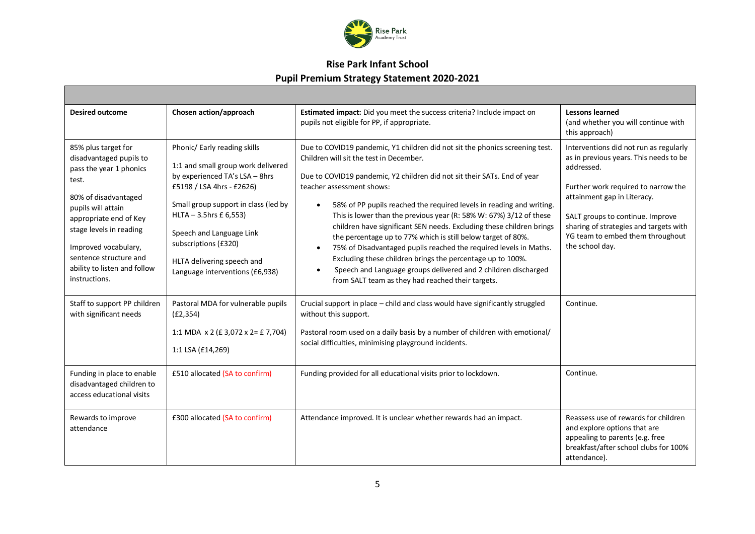

| <b>Desired outcome</b>                                                                                                                                                                                                                                                                   | Chosen action/approach                                                                                                                                                                                                                                                                                                    | Estimated impact: Did you meet the success criteria? Include impact on<br>pupils not eligible for PP, if appropriate.                                                                                                                                                                                                                                                                                                                                                                                                                                                                                                                                                                                                                                                                         | Lessons learned<br>(and whether you will continue with<br>this approach)                                                                                                                                                                                                                                  |
|------------------------------------------------------------------------------------------------------------------------------------------------------------------------------------------------------------------------------------------------------------------------------------------|---------------------------------------------------------------------------------------------------------------------------------------------------------------------------------------------------------------------------------------------------------------------------------------------------------------------------|-----------------------------------------------------------------------------------------------------------------------------------------------------------------------------------------------------------------------------------------------------------------------------------------------------------------------------------------------------------------------------------------------------------------------------------------------------------------------------------------------------------------------------------------------------------------------------------------------------------------------------------------------------------------------------------------------------------------------------------------------------------------------------------------------|-----------------------------------------------------------------------------------------------------------------------------------------------------------------------------------------------------------------------------------------------------------------------------------------------------------|
| 85% plus target for<br>disadvantaged pupils to<br>pass the year 1 phonics<br>test.<br>80% of disadvantaged<br>pupils will attain<br>appropriate end of Key<br>stage levels in reading<br>Improved vocabulary,<br>sentence structure and<br>ability to listen and follow<br>instructions. | Phonic/ Early reading skills<br>1:1 and small group work delivered<br>by experienced TA's LSA - 8hrs<br>£5198 / LSA 4hrs - £2626)<br>Small group support in class (led by<br>$HLTA - 3.5hrs f 6,553$<br>Speech and Language Link<br>subscriptions (£320)<br>HLTA delivering speech and<br>Language interventions (£6,938) | Due to COVID19 pandemic, Y1 children did not sit the phonics screening test.<br>Children will sit the test in December.<br>Due to COVID19 pandemic, Y2 children did not sit their SATs. End of year<br>teacher assessment shows:<br>58% of PP pupils reached the required levels in reading and writing.<br>This is lower than the previous year (R: 58% W: 67%) 3/12 of these<br>children have significant SEN needs. Excluding these children brings<br>the percentage up to 77% which is still below target of 80%.<br>75% of Disadvantaged pupils reached the required levels in Maths.<br>$\bullet$<br>Excluding these children brings the percentage up to 100%.<br>Speech and Language groups delivered and 2 children discharged<br>from SALT team as they had reached their targets. | Interventions did not run as regularly<br>as in previous years. This needs to be<br>addressed.<br>Further work required to narrow the<br>attainment gap in Literacy.<br>SALT groups to continue. Improve<br>sharing of strategies and targets with<br>YG team to embed them throughout<br>the school day. |
| Staff to support PP children<br>with significant needs                                                                                                                                                                                                                                   | Pastoral MDA for vulnerable pupils<br>(E2, 354)<br>1:1 MDA $\times$ 2 (£ 3,072 $\times$ 2= £ 7,704)<br>1:1 LSA (£14,269)                                                                                                                                                                                                  | Crucial support in place – child and class would have significantly struggled<br>without this support.<br>Pastoral room used on a daily basis by a number of children with emotional/<br>social difficulties, minimising playground incidents.                                                                                                                                                                                                                                                                                                                                                                                                                                                                                                                                                | Continue.                                                                                                                                                                                                                                                                                                 |
| Funding in place to enable<br>disadvantaged children to<br>access educational visits                                                                                                                                                                                                     | £510 allocated (SA to confirm)                                                                                                                                                                                                                                                                                            | Funding provided for all educational visits prior to lockdown.                                                                                                                                                                                                                                                                                                                                                                                                                                                                                                                                                                                                                                                                                                                                | Continue.                                                                                                                                                                                                                                                                                                 |
| Rewards to improve<br>attendance                                                                                                                                                                                                                                                         | £300 allocated (SA to confirm)                                                                                                                                                                                                                                                                                            | Attendance improved. It is unclear whether rewards had an impact.                                                                                                                                                                                                                                                                                                                                                                                                                                                                                                                                                                                                                                                                                                                             | Reassess use of rewards for children<br>and explore options that are<br>appealing to parents (e.g. free<br>breakfast/after school clubs for 100%<br>attendance).                                                                                                                                          |